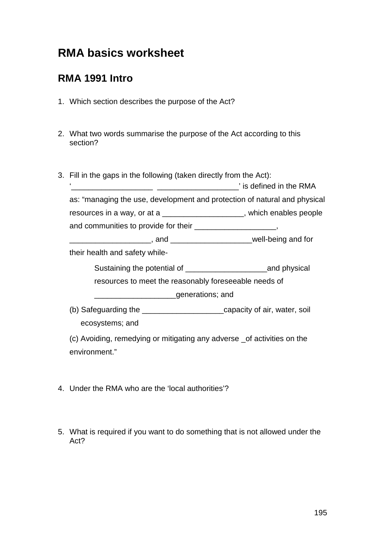# **RMA basics worksheet**

### **RMA 1991 Intro**

- 1. Which section describes the purpose of the Act?
- 2. What two words summarise the purpose of the Act according to this section?
- 3. Fill in the gaps in the following (taken directly from the Act):  $\sum_{i=1}^{\infty}$  is defined in the RMA  $\sum_{i=1}^{\infty}$

|                             | $\degree$ is defined in the RMA                                           |
|-----------------------------|---------------------------------------------------------------------------|
|                             | as: "managing the use, development and protection of natural and physical |
| resources in a way, or at a | which enables people                                                      |

and communities to provide for their \_\_\_\_\_\_\_\_\_\_\_\_\_\_\_\_\_\_\_\_\_,

\_\_\_\_\_\_\_\_\_\_\_\_\_\_\_\_\_\_, and \_\_\_\_\_\_\_\_\_\_\_\_\_\_\_\_\_\_\_\_\_\_\_\_well-being and for

their health and safety while-

Sustaining the potential of \_\_\_\_\_\_\_\_\_\_\_\_\_\_\_\_\_\_\_and physical

resources to meet the reasonably foreseeable needs of

\_\_\_\_\_\_\_\_\_\_\_\_\_\_\_\_\_\_\_generations; and

(b) Safeguarding the \_\_\_\_\_\_\_\_\_\_\_\_\_\_\_\_\_\_\_capacity of air, water, soil ecosystems; and

(c) Avoiding, remedying or mitigating any adverse \_of activities on the environment."

- 4. Under the RMA who are the 'local authorities'?
- 5. What is required if you want to do something that is not allowed under the Act?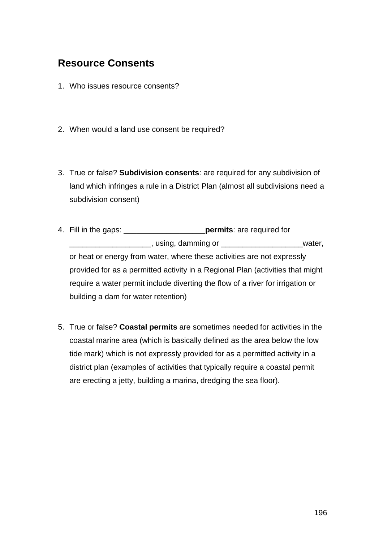### **Resource Consents**

- 1. Who issues resource consents?
- 2. When would a land use consent be required?
- 3. True or false? **Subdivision consents**: are required for any subdivision of land which infringes a rule in a District Plan (almost all subdivisions need a subdivision consent)
- 4. Fill in the gaps: \_\_\_\_\_\_\_\_\_\_\_\_\_\_\_\_\_\_\_**permits**: are required for \_\_\_\_\_\_\_\_\_\_\_\_\_\_\_\_\_\_\_, using, damming or \_\_\_\_\_\_\_\_\_\_\_\_\_\_\_\_\_\_\_water, or heat or energy from water, where these activities are not expressly provided for as a permitted activity in a Regional Plan (activities that might require a water permit include diverting the flow of a river for irrigation or building a dam for water retention)
- 5. True or false? **Coastal permits** are sometimes needed for activities in the coastal marine area (which is basically defined as the area below the low tide mark) which is not expressly provided for as a permitted activity in a district plan (examples of activities that typically require a coastal permit are erecting a jetty, building a marina, dredging the sea floor).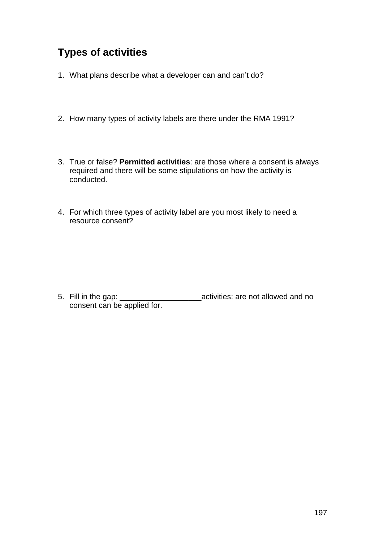# **Types of activities**

- 1. What plans describe what a developer can and can't do?
- 2. How many types of activity labels are there under the RMA 1991?
- 3. True or false? **Permitted activities**: are those where a consent is always required and there will be some stipulations on how the activity is conducted.
- 4. For which three types of activity label are you most likely to need a resource consent?

5. Fill in the gap: \_\_\_\_\_\_\_\_\_\_\_\_\_\_\_\_\_\_\_activities: are not allowed and no consent can be applied for.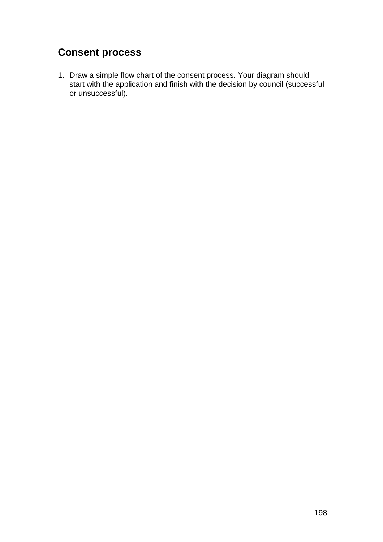# **Consent process**

1. Draw a simple flow chart of the consent process. Your diagram should start with the application and finish with the decision by council (successful or unsuccessful).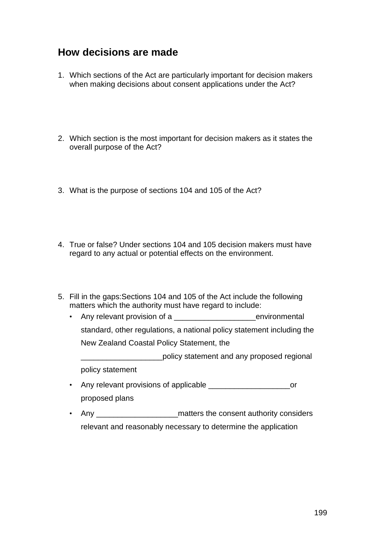#### **How decisions are made**

- 1. Which sections of the Act are particularly important for decision makers when making decisions about consent applications under the Act?
- 2. Which section is the most important for decision makers as it states the overall purpose of the Act?
- 3. What is the purpose of sections 104 and 105 of the Act?
- 4. True or false? Under sections 104 and 105 decision makers must have regard to any actual or potential effects on the environment.
- 5. Fill in the gaps:Sections 104 and 105 of the Act include the following matters which the authority must have regard to include:
	- Any relevant provision of a \_\_\_\_\_\_\_\_\_\_\_\_\_\_\_\_\_\_\_environmental standard, other regulations, a national policy statement including the New Zealand Coastal Policy Statement, the

\_\_\_\_\_\_\_\_\_\_\_\_\_\_\_\_\_\_\_policy statement and any proposed regional policy statement

- Any relevant provisions of applicable \_\_\_\_\_\_\_\_\_\_\_\_\_\_\_\_\_\_\_or proposed plans
- Any \_\_\_\_\_\_\_\_\_\_\_\_\_\_\_\_\_\_\_\_\_\_\_\_\_\_\_\_\_\_matters the consent authority considers relevant and reasonably necessary to determine the application